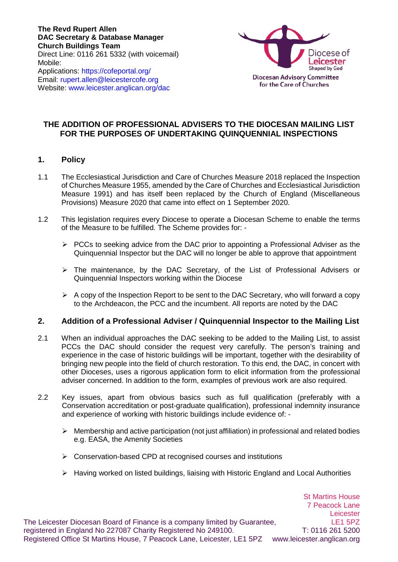**The Revd Rupert Allen DAC Secretary & Database Manager Church Buildings Team** Direct Line: 0116 261 5332 (with voicemail) Mobile: Applications: https://cofeportal.org/ Email: [rupert.allen@leicestercofe.org](mailto:rupert.allen@leicestercofe.org) Website: [www.leicester.anglican.org/dac](http://www.leicester.anglican.org/dac)



## **THE ADDITION OF PROFESSIONAL ADVISERS TO THE DIOCESAN MAILING LIST FOR THE PURPOSES OF UNDERTAKING QUINQUENNIAL INSPECTIONS**

#### **1. Policy**

- 1.1 The Ecclesiastical Jurisdiction and Care of Churches Measure 2018 replaced the Inspection of Churches Measure 1955, amended by the Care of Churches and Ecclesiastical Jurisdiction Measure 1991) and has itself been replaced by the Church of England (Miscellaneous Provisions) Measure 2020 that came into effect on 1 September 2020.
- 1.2 This legislation requires every Diocese to operate a Diocesan Scheme to enable the terms of the Measure to be fulfilled. The Scheme provides for: -
	- $\triangleright$  PCCs to seeking advice from the DAC prior to appointing a Professional Adviser as the Quinquennial Inspector but the DAC will no longer be able to approve that appointment
	- $\triangleright$  The maintenance, by the DAC Secretary, of the List of Professional Advisers or Quinquennial Inspectors working within the Diocese
	- $\triangleright$  A copy of the Inspection Report to be sent to the DAC Secretary, who will forward a copy to the Archdeacon, the PCC and the incumbent. All reports are noted by the DAC

## **2. Addition of a Professional Adviser / Quinquennial Inspector to the Mailing List**

- 2.1 When an individual approaches the DAC seeking to be added to the Mailing List, to assist PCCs the DAC should consider the request very carefully. The person's training and experience in the case of historic buildings will be important, together with the desirability of bringing new people into the field of church restoration. To this end, the DAC, in concert with other Dioceses, uses a rigorous application form to elicit information from the professional adviser concerned. In addition to the form, examples of previous work are also required.
- 2.2 Key issues, apart from obvious basics such as full qualification (preferably with a Conservation accreditation or post-graduate qualification), professional indemnity insurance and experience of working with historic buildings include evidence of: -
	- $\triangleright$  Membership and active participation (not just affiliation) in professional and related bodies e.g. EASA, the Amenity Societies
	- $\triangleright$  Conservation-based CPD at recognised courses and institutions
	- $\triangleright$  Having worked on listed buildings, liaising with Historic England and Local Authorities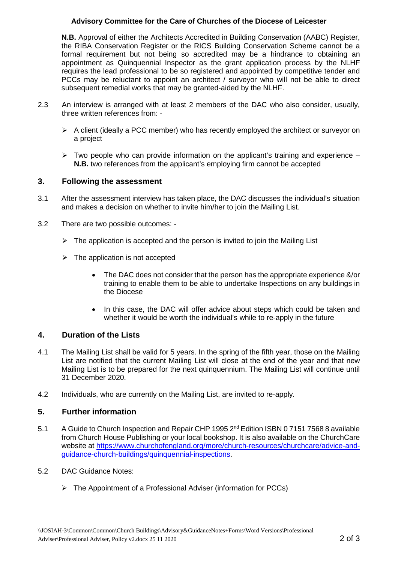## **Advisory Committee for the Care of Churches of the Diocese of Leicester**

**N.B.** Approval of either the Architects Accredited in Building Conservation (AABC) Register, the RIBA Conservation Register or the RICS Building Conservation Scheme cannot be a formal requirement but not being so accredited may be a hindrance to obtaining an appointment as Quinquennial Inspector as the grant application process by the NLHF requires the lead professional to be so registered and appointed by competitive tender and PCCs may be reluctant to appoint an architect / surveyor who will not be able to direct subsequent remedial works that may be granted-aided by the NLHF.

- 2.3 An interview is arranged with at least 2 members of the DAC who also consider, usually, three written references from: -
	- $\triangleright$  A client (ideally a PCC member) who has recently employed the architect or surveyor on a project
	- $\triangleright$  Two people who can provide information on the applicant's training and experience **N.B.** two references from the applicant's employing firm cannot be accepted

#### **3. Following the assessment**

- 3.1 After the assessment interview has taken place, the DAC discusses the individual's situation and makes a decision on whether to invite him/her to join the Mailing List.
- 3.2 There are two possible outcomes:
	- $\triangleright$  The application is accepted and the person is invited to join the Mailing List
	- $\triangleright$  The application is not accepted
		- The DAC does not consider that the person has the appropriate experience &/or training to enable them to be able to undertake Inspections on any buildings in the Diocese
		- In this case, the DAC will offer advice about steps which could be taken and whether it would be worth the individual's while to re-apply in the future

## **4. Duration of the Lists**

- 4.1 The Mailing List shall be valid for 5 years. In the spring of the fifth year, those on the Mailing List are notified that the current Mailing List will close at the end of the year and that new Mailing List is to be prepared for the next quinquennium. The Mailing List will continue until 31 December 2020.
- 4.2 Individuals, who are currently on the Mailing List, are invited to re-apply.

## **5. Further information**

- 5.1 A Guide to Church Inspection and Repair CHP 1995 2<sup>nd</sup> Edition ISBN 0 7151 7568 8 available from Church House Publishing or your local bookshop. It is also available on the ChurchCare website at [https://www.churchofengland.org/more/church-resources/churchcare/advice-and](http://www.churchcare.co.uk/churches/guidance-advice/looking-after-your-church/quinquennial-inspections/quinquennial-inspections-the-report)[guidance-church-buildings/quinquennial-inspections.](http://www.churchcare.co.uk/churches/guidance-advice/looking-after-your-church/quinquennial-inspections/quinquennial-inspections-the-report)
- 5.2 DAC Guidance Notes:
	- $\triangleright$  The Appointment of a Professional Adviser (information for PCCs)